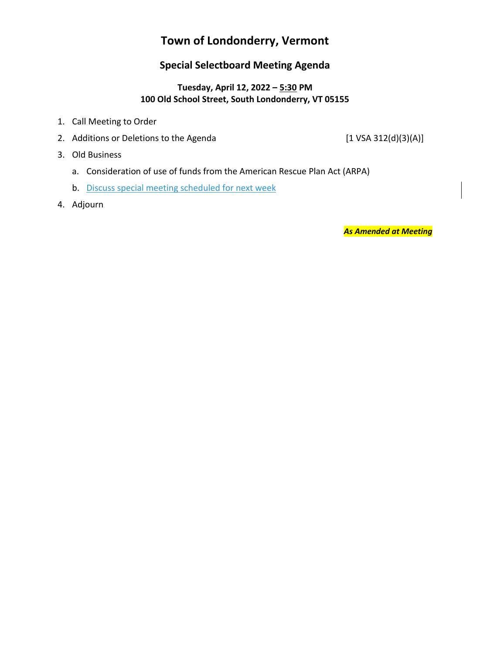# **Town of Londonderry, Vermont**

# **Special Selectboard Meeting Agenda**

### **Tuesday, April 12, 2022 – 5:30 PM 100 Old School Street, South Londonderry, VT 05155**

- 1. Call Meeting to Order
- 2. Additions or Deletions to the Agenda [1 VSA 312(d)(3)(A)]

- 3. Old Business
	- a. Consideration of use of funds from the American Rescue Plan Act (ARPA)
	- b. Discuss special meeting scheduled for next week
- 4. Adjourn

*As Amended at Meeting*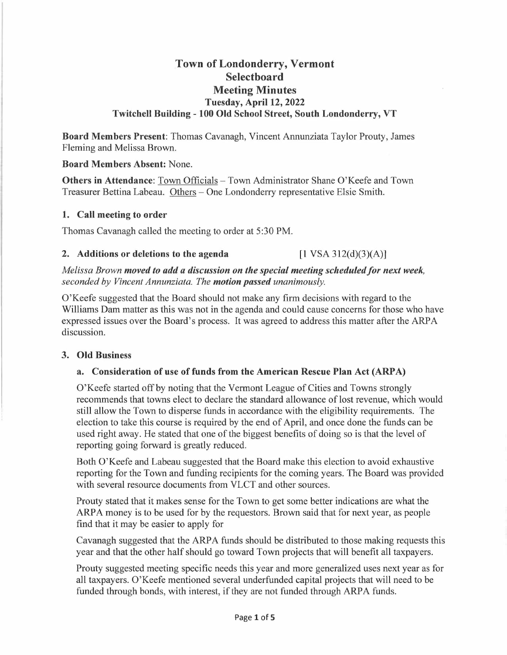## **Town of Londonderry, Vermont Selectboard Meeting Minutes Tuesday, April 12, 2022 Twitchell Building - 100 Old School Street, South Londonderry, VT**

**Board Members Present:** Thomas Cavanagh, Vincent Annunziata Taylor Prouty, James Fleming and Melissa Brown.

### **Board Members Absent:** None.

**Others in Attendance:** Town Officials - Town Administrator Shane O'Keefe and Town Treasurer Bettina Labeau. Others - One Londonderry representative Elsie Smith.

### **1. Call meeting to order**

Thomas Cavanagh called the meeting to order at 5 :30 PM.

### **2.** Additions or deletions to the agenda  $\begin{bmatrix} 1 \text{ VSA } 312 \text{ (d)}(3) \text{ (A)} \end{bmatrix}$

*Melissa Brown <i>moved to add a discussion on the special meeting scheduled for next week, seconded by Vincent Annunziata. The motion passed unanimously.* 

O'Keefe suggested that the Board should not make any firm decisions with regard to the Williams Dam matter as this was not in the agenda and could cause concerns for those who have expressed issues over the Board's process. It was agreed to address this matter after the ARP A discussion.

### **3. Old Business**

### **a. Consideration of use of funds from the American Rescue Plan Act (ARP A)**

O'Keefe started off by noting that the Vermont League of Cities and Towns strongly recommends that towns elect to declare the standard allowance of lost revenue, which would still allow the Town to disperse funds in accordance with the eligibility requirements. The election to take this course is required by the end of April, and once done the funds can be used right away. He stated that one of the biggest benefits of doing so is that the level of reporting going forward is greatly reduced.

Both O'Keefe and Labeau suggested that the Board make this election to avoid exhaustive reporting for the Town and funding recipients for the coming years. The Board was provided with several resource documents from VLCT and other sources.

Prouty stated that it makes sense for the Town to get some better indications are what the ARPA money is to be used for by the requestors. Brown said that for next year, as people find that it may be easier to apply for

Cavanagh suggested that the ARPA funds should be distributed to those making requests this year and that the other half should go toward Town projects that will benefit all taxpayers.

Prouty suggested meeting specific needs this year and more generalized uses next year as for all taxpayers. O'Keefe mentioned several underfunded capital projects that will need to be funded through bonds, with interest, if they are not funded through ARPA funds.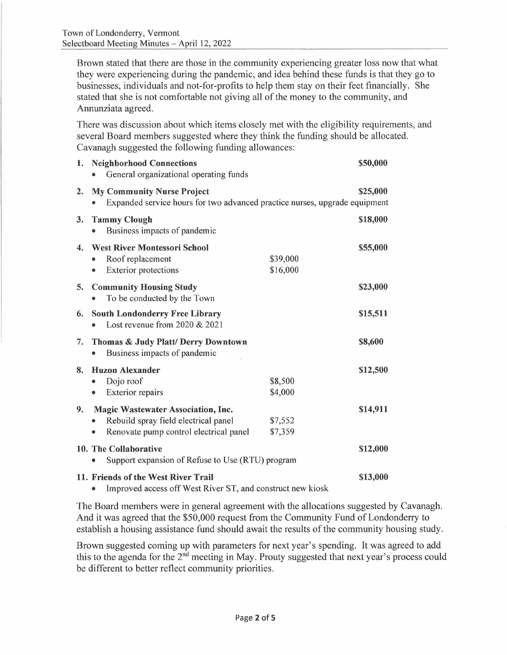Brown stated that there are those in the community experiencing greater loss now that what they were experiencing during the pandemic, and idea behind these funds is that they go to businesses, individuals and not-for-profits to help them stay on their feet financially. She stated that she is not comfortable not giving all of the money to the community, and Annunziata agreed.

There was discussion about which items closely met with the eligibility requirements, and several Board members suggested where they think the funding should be allocated. Cavanagh suggested the following funding allowances:

|                  | 1. Neighborhood Connections<br>General organizational operating funds                                                                    |                      | \$50,000 |  |
|------------------|------------------------------------------------------------------------------------------------------------------------------------------|----------------------|----------|--|
| 2.               | <b>My Community Nurse Project</b><br>Expanded service hours for two advanced practice nurses, upgrade equipment                          |                      | \$25,000 |  |
| 3.               | <b>Tammy Clough</b><br>Business impacts of pandemic<br>$\bullet$                                                                         |                      | \$18,000 |  |
| $\overline{4}$ . | <b>West River Montessori School</b><br>Roof replacement<br><b>Exterior protections</b>                                                   | \$39,000<br>\$16,000 | \$55,000 |  |
| 5.               | <b>Community Housing Study</b><br>To be conducted by the Town                                                                            |                      | \$23,000 |  |
| 6.               | <b>South Londonderry Free Library</b><br>Lost revenue from 2020 & 2021                                                                   |                      | \$15,511 |  |
| 7.               | Thomas & Judy Platt/ Derry Downtown<br>Business impacts of pandemic<br>$\bullet$                                                         |                      | \$8,600  |  |
| 8.               | <b>Huzon Alexander</b><br>Dojo roof<br><b>Exterior repairs</b><br>$\bullet$                                                              | \$8,500<br>\$4,000   | \$12,500 |  |
| 9.               | <b>Magic Wastewater Association, Inc.</b><br>Rebuild spray field electrical panel<br>$\bullet$<br>Renovate pump control electrical panel | \$7,552<br>\$7,359   | \$14,911 |  |
|                  | 10. The Collaborative<br>Support expansion of Refuse to Use (RTU) program<br>$\bullet$                                                   |                      |          |  |
|                  | 11. Friends of the West River Trail<br>\$13,000<br>Improved access off West River ST, and construct new kiosk<br>۰                       |                      |          |  |

The Board members were in general agreement with the allocations suggested by Cavanagh. And it was agreed that the \$50,000 request from the Community Fund of Londonderry to establish a housing assistance fund should await the results of the community housing study.

Brown suggested coming up with parameters for next year's spending. It was agreed to add this to the agenda for the 2<sup>nd</sup> meeting in May. Prouty suggested that next year's process could be different to better reflect community priorities.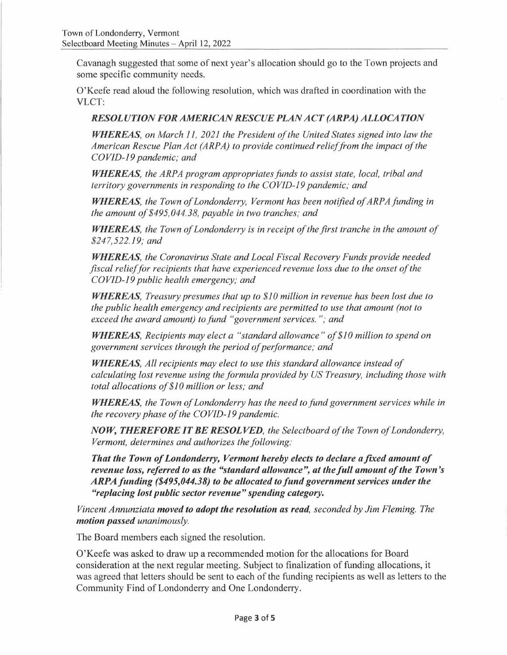Cavanagh suggested that some of next year's allocation should go to the Town projects and some specific community needs.

O'Keefe read aloud the following resolution, which was drafted in coordination with the VLCT:

### *RESOLUTION FOR AMERICAN RESCUE PLAN ACT (ARPA) ALLOCATION*

*WHEREAS, on March 11, 2021 the President of the United States signed into law the American Rescue Plan Act (ARPA) to provide continued relief from the impact of the COVID-19 pandemic; and* 

*WHEREAS, the ARPA program appropriates funds to assist state, local, tribal and territory governments in responding to the COVJD-19 pandemic; and* 

*WHEREAS, the Town of Londonderry, Vermont has been notified of ARPA funding in*  **WHEREAS**, the Town of Londonderry, Vermont has been<br>the amount of \$495,044.38, payable in two tranches; and *the amount of \$495,044.38, payable in two tranches; and*<br>**WHEREAS**, the Town of Londonderry is in receipt of the first tranche in the amount of

*\$247,522.19; and* 

*WHEREAS, the Coronavirus State and Local Fiscal Recovery Funds provide needed fiscal relief for recipients that have experienced revenue loss due to the onset of the COVID-19 public health emergency; and* 

*WHEREAS, Treasury presumes that up to \$10 million in revenue has been lost due to the public health emergency and recipients are permitted to use that amount (not to exceed the award amount) to fund "government services. "; and* 

*WHEREAS, Recipients may elect a "standard allowance" of \$10 million to spend on*  government services through the period of performance; and

*WHEREAS, All recipients may elect to use this standard allowance instead of calculating lost revenue using the formula provided by US Treasury, including those with total allocations of\$10 million or less; and* 

*WHEREAS, the Town of Londonderry has the need to fund government services while in the recovery phase of the COVID-19 pandemic.* 

*NOW, THEREFORE IT BE RESOLVED, the Selectboard of the Town of Londonderry, Vermont, determines and authorizes the following:* 

*That the Town of Londonderry, Vermont hereby elects to declare a fixed amount of revenue loss, referred to as the "standard allowance", at the full amount of the Town's revenue loss, referred to as the "standard allowance", at the full amount of the Town*<br>ARPA funding (\$495,044.38) to be allocated to fund government services under the *"replacing lost public sector revenue" spending category.* 

*Vincent Annunziata moved to adopt the resolution as read, seconded by Jim Fleming. The motion passed unanimously.* 

The Board members each signed the resolution.

O'Keefe was asked to draw up a recommended motion for the allocations for Board consideration at the next regular meeting. Subject to finalization of funding allocations, it was agreed that letters should be sent to each of the funding recipients as well as letters to the Community Find of Londonderry and One Londonderry.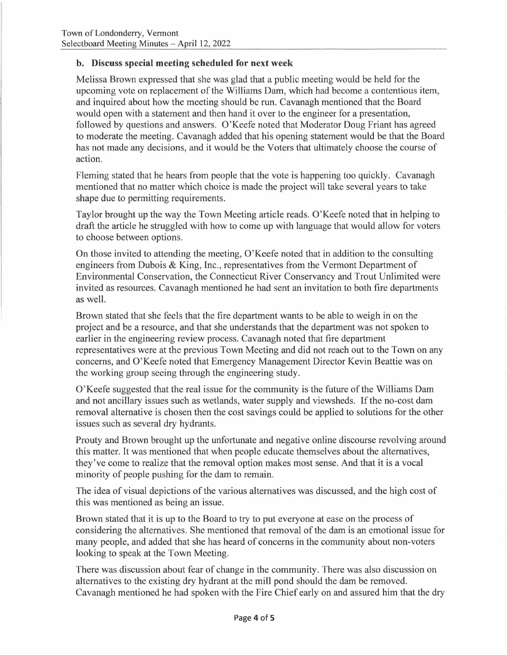### **b. Discuss special meeting scheduled for next week**

Melissa Brown expressed that she was glad that a public meeting would be held for the upcoming vote on replacement of the Williams Dam, which had become a contentious item, and inquired about how the meeting should be run. Cavanagh mentioned that the Board would open with a statement and then hand it over to the engineer for a presentation, followed by questions and answers. O'Keefe noted that Moderator Doug Friant has agreed to moderate the meeting. Cavanagh added that his opening statement would be that the Board has not made any decisions, and it would be the Voters that ultimately choose the course of action.

Fleming stated that he hears from people that the vote is happening too quickly. Cavanagh mentioned that no matter which choice is made the project will take several years to take shape due to permitting requirements.

Taylor brought up the way the Town Meeting article reads. O'Keefe noted that in helping to draft the article he struggled with how to come up with language that would allow for voters to choose between options.

On those invited to attending the meeting, O'Keefe noted that in addition to the consulting engineers from Dubois & King, Inc., representatives from the Vermont Department of Environmental Conservation, the Connecticut River Conservancy and Trout Unlimited were invited as resources. Cavanagh mentioned he had sent an invitation to both fire departments as well.

Brown stated that she feels that the fire department wants to be able to weigh in on the project and be a resource, and that she understands that the department was not spoken to earlier in the engineering review process. Cavanagh noted that fire department representatives were at the previous Town Meeting and did not reach out to the Town on any concerns, and O' Keefe noted that Emergency Management Director Kevin Beattie was on the working group seeing through the engineering study.

O'Keefe suggested that the real issue for the community is the future of the Williams Dam and not ancillary issues such as wetlands, water supply and viewsheds. If the no-cost dam removal alternative is chosen then the cost savings could be applied to solutions for the other issues such as several dry hydrants.

Prouty and Brown brought up the unfortunate and negative online discourse revolving around this matter. It was mentioned that when people educate themselves about the alternatives, they've come to realize that the removal option makes most sense. And that it is a vocal minority of people pushing for the dam to remain.

The idea of visual depictions of the various alternatives was discussed, and the high cost of this was mentioned as being an issue.

Brown stated that it is up to the Board to try to put everyone at ease on the process of considering the alternatives. She mentioned that removal of the dam is an emotional issue for many people, and added that she has heard of concerns in the community about non-voters looking to speak at the Town Meeting.

There was discussion about fear of change in the community. There was also discussion on alternatives to the existing dry hydrant at the mill pond should the dam be removed. Cavanagh mentioned he had spoken with the Fire Chief early on and assured him that the dry